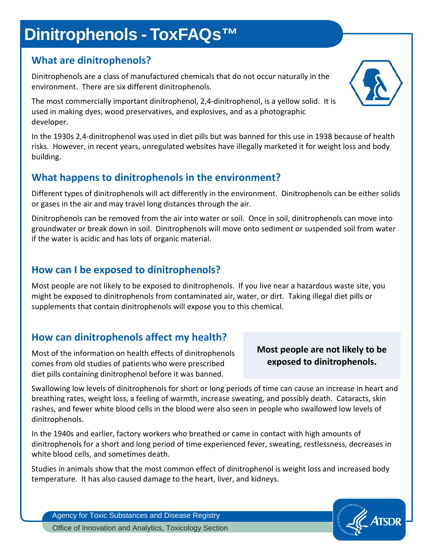# **Dinitrophenols - ToxFAQs™**

### **What are dinitrophenols?**

Dinitrophenols are a class of manufactured chemicals that do not occur naturally in the environment. There are six different dinitrophenols.

The most commercially important dinitrophenol, 2,4-dinitrophenol, is a yellow solid. It is used in making dyes, wood preservatives, and explosives, and as a photographic developer.

In the 1930s 2,4-dinitrophenol was used in diet pills but was banned for this use in 1938 because of health risks. However, in recent years, unregulated websites have illegally marketed it for weight loss and body building.

## **What happens to dinitrophenols in the environment?**

Different types of dinitrophenols will act differently in the environment. Dinitrophenols can be either solids or gases in the air and may travel long distances through the air.

Dinitrophenols can be removed from the air into water or soil. Once in soil, dinitrophenols can move into groundwater or break down in soil. Dinitrophenols will move onto sediment or suspended soil from water if the water is acidic and has lots of organic material.

### **How can I be exposed to dinitrophenols?**

Most people are not likely to be exposed to dinitrophenols. If you live near a hazardous waste site, you might be exposed to dinitrophenols from contaminated air, water, or dirt. Taking illegal diet pills or supplements that contain dinitrophenols will expose you to this chemical.

## **How can dinitrophenols affect my health?**

Most of the information on health effects of dinitrophenols comes from old studies of patients who were prescribed diet pills containing dinitrophenol before it was banned.

#### **Most people are not likely to be exposed to dinitrophenols.**

Swallowing low levels of dinitrophenols for short or long periods of time can cause an increase in heart and breathing rates, weight loss, a feeling of warmth, increase sweating, and possibly death. Cataracts, skin rashes, and fewer white blood cells in the blood were also seen in people who swallowed low levels of dinitrophenols.

In the 1940s and earlier, factory workers who breathed or came in contact with high amounts of dinitrophenols for a short and long period of time experienced fever, sweating, restlessness, decreases in white blood cells, and sometimes death.

Studies in animals show that the most common effect of dinitrophenol is weight loss and increased body temperature. It has also caused damage to the heart, liver, and kidneys.